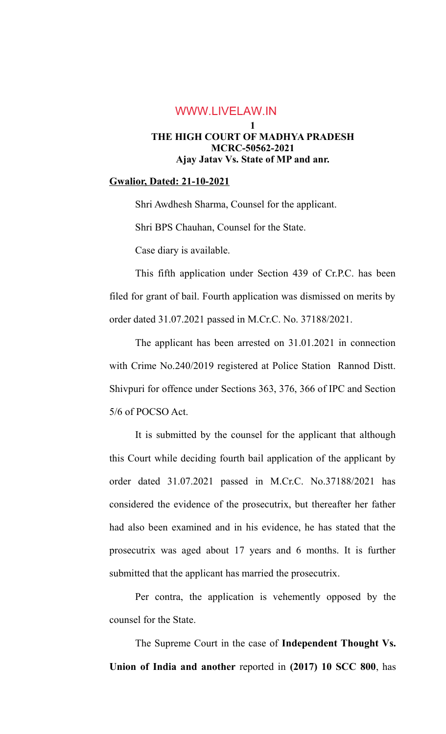## **1 THE HIGH COURT OF MADHYA PRADESH MCRC-50562-2021 Ajay Jatav Vs. State of MP and anr.** WWW.LIVELAW.IN

#### **Gwalior, Dated: 21-10-2021**

Shri Awdhesh Sharma, Counsel for the applicant.

Shri BPS Chauhan, Counsel for the State.

Case diary is available.

This fifth application under Section 439 of Cr.P.C. has been filed for grant of bail. Fourth application was dismissed on merits by order dated 31.07.2021 passed in M.Cr.C. No. 37188/2021.

The applicant has been arrested on 31.01.2021 in connection with Crime No.240/2019 registered at Police Station Rannod Distt. Shivpuri for offence under Sections 363, 376, 366 of IPC and Section 5/6 of POCSO Act.

It is submitted by the counsel for the applicant that although this Court while deciding fourth bail application of the applicant by order dated 31.07.2021 passed in M.Cr.C. No.37188/2021 has considered the evidence of the prosecutrix, but thereafter her father had also been examined and in his evidence, he has stated that the prosecutrix was aged about 17 years and 6 months. It is further submitted that the applicant has married the prosecutrix.

Per contra, the application is vehemently opposed by the counsel for the State.

The Supreme Court in the case of **Independent Thought Vs. Union of India and another** reported in **(2017) 10 SCC 800**, has